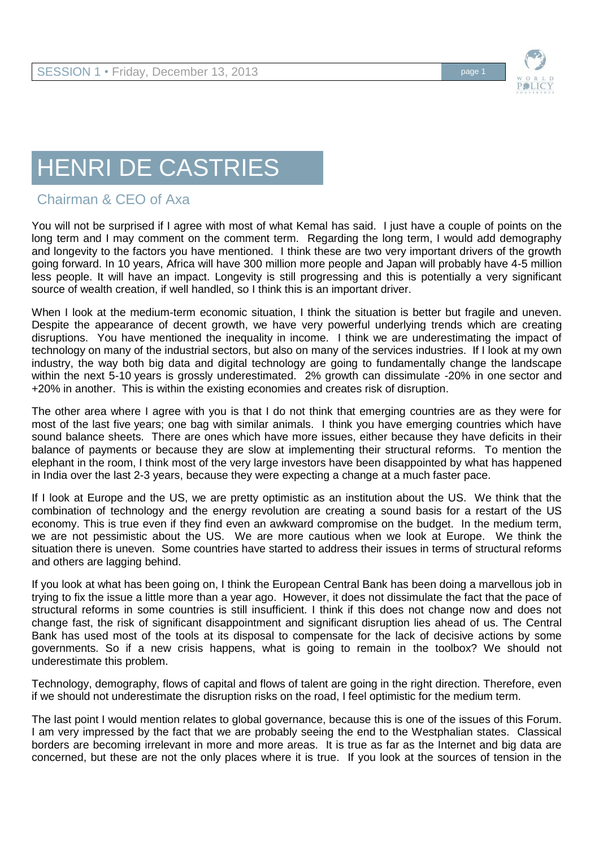

## HENRI DE CASTRIES

## Chairman & CEO of Axa

You will not be surprised if I agree with most of what Kemal has said. I just have a couple of points on the long term and I may comment on the comment term. Regarding the long term, I would add demography and longevity to the factors you have mentioned. I think these are two very important drivers of the growth going forward. In 10 years, Africa will have 300 million more people and Japan will probably have 4-5 million less people. It will have an impact. Longevity is still progressing and this is potentially a very significant source of wealth creation, if well handled, so I think this is an important driver.

When I look at the medium-term economic situation, I think the situation is better but fragile and uneven. Despite the appearance of decent growth, we have very powerful underlying trends which are creating disruptions. You have mentioned the inequality in income. I think we are underestimating the impact of technology on many of the industrial sectors, but also on many of the services industries. If I look at my own industry, the way both big data and digital technology are going to fundamentally change the landscape within the next 5-10 years is grossly underestimated. 2% growth can dissimulate -20% in one sector and +20% in another. This is within the existing economies and creates risk of disruption.

The other area where I agree with you is that I do not think that emerging countries are as they were for most of the last five years; one bag with similar animals. I think you have emerging countries which have sound balance sheets. There are ones which have more issues, either because they have deficits in their balance of payments or because they are slow at implementing their structural reforms. To mention the elephant in the room, I think most of the very large investors have been disappointed by what has happened in India over the last 2-3 years, because they were expecting a change at a much faster pace.

If I look at Europe and the US, we are pretty optimistic as an institution about the US. We think that the combination of technology and the energy revolution are creating a sound basis for a restart of the US economy. This is true even if they find even an awkward compromise on the budget. In the medium term, we are not pessimistic about the US. We are more cautious when we look at Europe. We think the situation there is uneven. Some countries have started to address their issues in terms of structural reforms and others are lagging behind.

If you look at what has been going on, I think the European Central Bank has been doing a marvellous job in trying to fix the issue a little more than a year ago. However, it does not dissimulate the fact that the pace of structural reforms in some countries is still insufficient. I think if this does not change now and does not change fast, the risk of significant disappointment and significant disruption lies ahead of us. The Central Bank has used most of the tools at its disposal to compensate for the lack of decisive actions by some governments. So if a new crisis happens, what is going to remain in the toolbox? We should not underestimate this problem.

Technology, demography, flows of capital and flows of talent are going in the right direction. Therefore, even if we should not underestimate the disruption risks on the road, I feel optimistic for the medium term.

The last point I would mention relates to global governance, because this is one of the issues of this Forum. I am very impressed by the fact that we are probably seeing the end to the Westphalian states. Classical borders are becoming irrelevant in more and more areas. It is true as far as the Internet and big data are concerned, but these are not the only places where it is true. If you look at the sources of tension in the